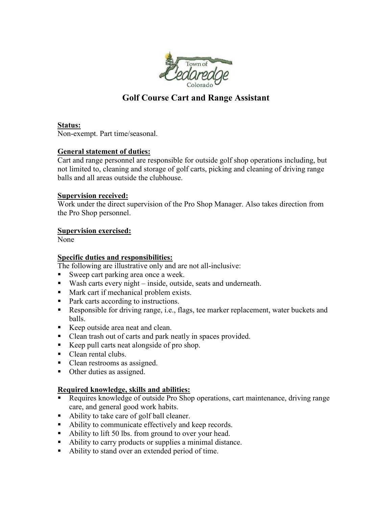

# **Golf Course Cart and Range Assistant**

**Status:** Non-exempt. Part time/seasonal.

#### **General statement of duties:**

Cart and range personnel are responsible for outside golf shop operations including, but not limited to, cleaning and storage of golf carts, picking and cleaning of driving range balls and all areas outside the clubhouse.

### **Supervision received:**

Work under the direct supervision of the Pro Shop Manager. Also takes direction from the Pro Shop personnel.

### **Supervision exercised:**

None

## **Specific duties and responsibilities:**

The following are illustrative only and are not all-inclusive:

- Sweep cart parking area once a week.
- Wash carts every night inside, outside, seats and underneath.
- **Mark cart if mechanical problem exists.**
- Park carts according to instructions.
- Responsible for driving range, i.e., flags, tee marker replacement, water buckets and balls.
- Keep outside area neat and clean.
- Clean trash out of carts and park neatly in spaces provided.
- Keep pull carts neat alongside of pro shop.
- Clean rental clubs.
- Clean restrooms as assigned.
- Other duties as assigned.

## **Required knowledge, skills and abilities:**

- Requires knowledge of outside Pro Shop operations, cart maintenance, driving range care, and general good work habits.
- Ability to take care of golf ball cleaner.
- Ability to communicate effectively and keep records.
- Ability to lift 50 lbs. from ground to over your head.
- Ability to carry products or supplies a minimal distance.
- Ability to stand over an extended period of time.